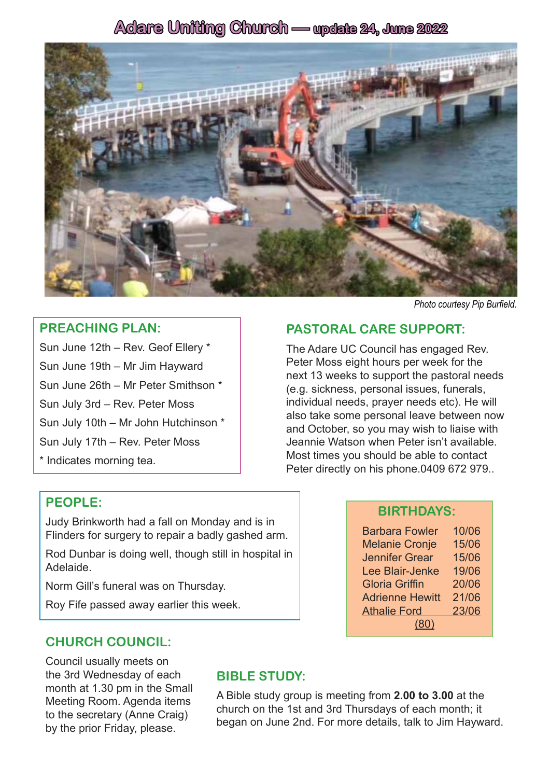## **Adare Uniting Church — update 24, June 2022**



#### **PREACHING PLAN:**

Sun June 12th – Rev. Geof Ellery \* Sun June 19th – Mr Jim Hayward Sun June 26th – Mr Peter Smithson \* Sun July 3rd – Rev. Peter Moss Sun July 10th – Mr John Hutchinson \* Sun July 17th – Rev. Peter Moss

\* Indicates morning tea.

#### *Photo courtesy Pip Burfield.*

## **PASTORAL CARE SUPPORT:**

The Adare UC Council has engaged Rev. Peter Moss eight hours per week for the next 13 weeks to support the pastoral needs (e.g. sickness, personal issues, funerals, individual needs, prayer needs etc). He will also take some personal leave between now and October, so you may wish to liaise with Jeannie Watson when Peter isn't available. Most times you should be able to contact Peter directly on his phone.0409 672 979..

## **PEOPLE:**

Judy Brinkworth had a fall on Monday and is in Flinders for surgery to repair a badly gashed arm.

Rod Dunbar is doing well, though still in hospital in Adelaide.

Norm Gill's funeral was on Thursday.

Roy Fife passed away earlier this week.

## **CHURCH COUNCIL:**

Council usually meets on the 3rd Wednesday of each month at 1.30 pm in the Small Meeting Room. Agenda items to the secretary (Anne Craig) by the prior Friday, please.

## **BIBLE STUDY:**

A Bible study group is meeting from **2.00 to 3.00** at the church on the 1st and 3rd Thursdays of each month; it began on June 2nd. For more details, talk to Jim Hayward.

#### **BIRTHDAYS:**

| <b>Barbara Fowler</b>  | 10/06 |
|------------------------|-------|
| <b>Melanie Cronje</b>  | 15/06 |
| <b>Jennifer Grear</b>  | 15/06 |
| Lee Blair-Jenke        | 19/06 |
| <b>Gloria Griffin</b>  | 20/06 |
| <b>Adrienne Hewitt</b> | 21/06 |
| <b>Athalie Ford</b>    | 23/06 |
| (80)                   |       |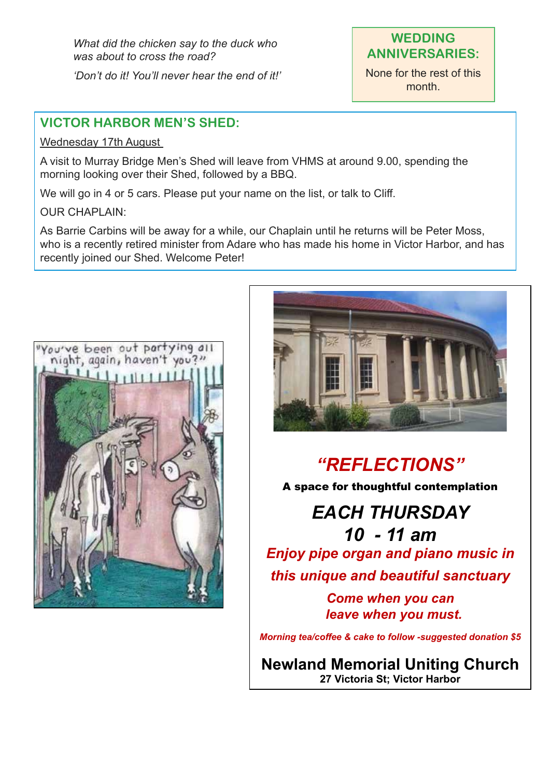*What did the chicken say to the duck who was about to cross the road? 'Don't do it! You'll never hear the end of it!'*

## **WEDDING ANNIVERSARIES:**

None for the rest of this month.

## **VICTOR HARBOR MEN'S SHED:**

#### Wednesday 17th August

A visit to Murray Bridge Men's Shed will leave from VHMS at around 9.00, spending the morning looking over their Shed, followed by a BBQ.

We will go in 4 or 5 cars. Please put your name on the list, or talk to Cliff.

### OUR CHAPLAIN:

As Barrie Carbins will be away for a while, our Chaplain until he returns will be Peter Moss, who is a recently retired minister from Adare who has made his home in Victor Harbor, and has recently joined our Shed. Welcome Peter!





# *"REFLECTIONS"*

A space for thoughtful contemplation

*EACH THURSDAY 10 - 11 am Enjoy pipe organ and piano music in this unique and beautiful sanctuary*

> *Come when you can leave when you must.*

*Morning tea/coffee & cake to follow -suggested donation \$5*

**Newland Memorial Uniting Church 27 Victoria St; Victor Harbor**